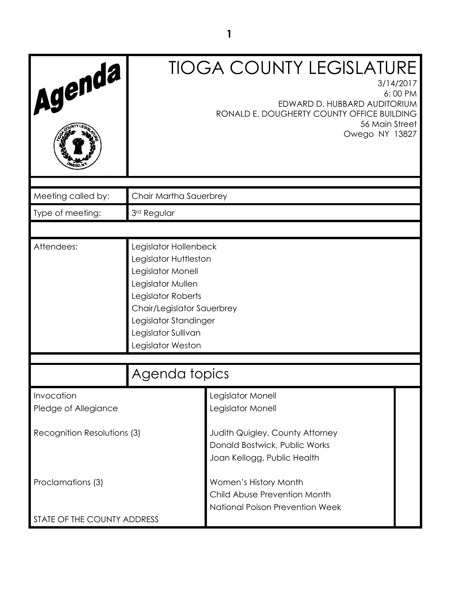| Agenda                             |                                                                                                                                                                                                                   | <b>TIOGA COUNTY LEGISLATURE</b><br>3/14/2017<br>6:00 PM<br>EDWARD D. HUBBARD AUDITORIUM<br>RONALD E. DOUGHERTY COUNTY OFFICE BUILDING<br>56 Main Street<br>Owego NY 13827 |  |
|------------------------------------|-------------------------------------------------------------------------------------------------------------------------------------------------------------------------------------------------------------------|---------------------------------------------------------------------------------------------------------------------------------------------------------------------------|--|
| Meeting called by:                 | Chair Martha Sauerbrey                                                                                                                                                                                            |                                                                                                                                                                           |  |
| Type of meeting:                   | 3rd Regular                                                                                                                                                                                                       |                                                                                                                                                                           |  |
|                                    |                                                                                                                                                                                                                   |                                                                                                                                                                           |  |
| Attendees:                         | Legislator Hollenbeck<br>Legislator Huttleston<br>Legislator Monell<br>Legislator Mullen<br>Legislator Roberts<br>Chair/Legislator Sauerbrey<br>Legislator Standinger<br>Legislator Sullivan<br>Legislator Weston |                                                                                                                                                                           |  |
|                                    | Agenda topics                                                                                                                                                                                                     |                                                                                                                                                                           |  |
| Invocation<br>Pledge of Allegiance |                                                                                                                                                                                                                   | Legislator Monell<br>Legislator Monell                                                                                                                                    |  |
| Recognition Resolutions (3)        |                                                                                                                                                                                                                   | Judith Quigley, County Attorney<br>Donald Bostwick, Public Works<br>Joan Kellogg, Public Health                                                                           |  |
| Proclamations (3)                  |                                                                                                                                                                                                                   | Women's History Month<br>Child Abuse Prevention Month<br>National Poison Prevention Week                                                                                  |  |
| STATE OF THE COUNTY ADDRESS        |                                                                                                                                                                                                                   |                                                                                                                                                                           |  |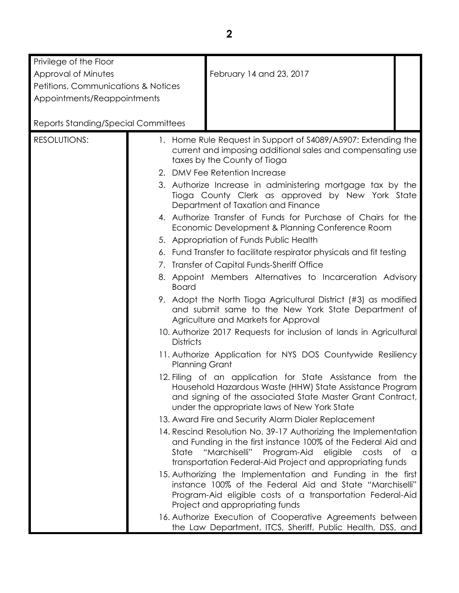| Privilege of the Floor                     |                       |                                                                                                                                                                                                                                                       |  |
|--------------------------------------------|-----------------------|-------------------------------------------------------------------------------------------------------------------------------------------------------------------------------------------------------------------------------------------------------|--|
| Approval of Minutes                        |                       | February 14 and 23, 2017                                                                                                                                                                                                                              |  |
| Petitions, Communications & Notices        |                       |                                                                                                                                                                                                                                                       |  |
| Appointments/Reappointments                |                       |                                                                                                                                                                                                                                                       |  |
|                                            |                       |                                                                                                                                                                                                                                                       |  |
| <b>Reports Standing/Special Committees</b> |                       |                                                                                                                                                                                                                                                       |  |
| <b>RESOLUTIONS:</b>                        |                       | 1. Home Rule Request in Support of S4089/A5907: Extending the<br>current and imposing additional sales and compensating use<br>taxes by the County of Tioga                                                                                           |  |
|                                            |                       | 2. DMV Fee Retention Increase                                                                                                                                                                                                                         |  |
|                                            |                       | 3. Authorize Increase in administering mortgage tax by the<br>Tioga County Clerk as approved by New York State<br>Department of Taxation and Finance                                                                                                  |  |
|                                            |                       | 4. Authorize Transfer of Funds for Purchase of Chairs for the<br>Economic Development & Planning Conference Room                                                                                                                                      |  |
|                                            |                       | 5. Appropriation of Funds Public Health                                                                                                                                                                                                               |  |
|                                            |                       | 6. Fund Transfer to facilitate respirator physicals and fit testing                                                                                                                                                                                   |  |
|                                            |                       | 7. Transfer of Capital Funds-Sheriff Office                                                                                                                                                                                                           |  |
|                                            | <b>Board</b>          | 8. Appoint Members Alternatives to Incarceration Advisory                                                                                                                                                                                             |  |
|                                            |                       | 9. Adopt the North Tioga Agricultural District (#3) as modified<br>and submit same to the New York State Department of<br>Agriculture and Markets for Approval                                                                                        |  |
|                                            | <b>Districts</b>      | 10. Authorize 2017 Requests for inclusion of lands in Agricultural                                                                                                                                                                                    |  |
|                                            | <b>Planning Grant</b> | 11. Authorize Application for NYS DOS Countywide Resiliency                                                                                                                                                                                           |  |
|                                            |                       | 12. Filing of an application for State Assistance from the<br>Household Hazardous Waste (HHW) State Assistance Program<br>and signing of the associated State Master Grant Contract,<br>under the appropriate laws of New York State                  |  |
|                                            |                       | 13. Award Fire and Security Alarm Dialer Replacement                                                                                                                                                                                                  |  |
|                                            | State                 | 14. Rescind Resolution No. 39-17 Authorizing the Implementation<br>and Funding in the first instance 100% of the Federal Aid and<br>"Marchiselli"<br>Program-Aid eligible<br>costs of a<br>transportation Federal-Aid Project and appropriating funds |  |
|                                            |                       | 15. Authorizing the Implementation and Funding in the first<br>instance 100% of the Federal Aid and State "Marchiselli"<br>Program-Aid eligible costs of a transportation Federal-Aid<br>Project and appropriating funds                              |  |
|                                            |                       | 16. Authorize Execution of Cooperative Agreements between<br>the Law Department, ITCS, Sheriff, Public Health, DSS, and                                                                                                                               |  |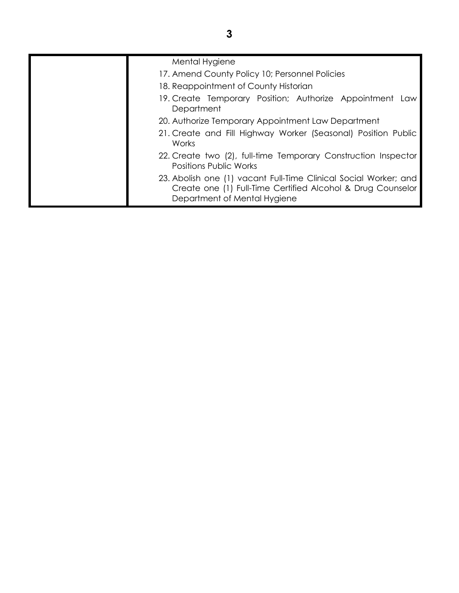| Mental Hygiene                                                                                                                                                  |
|-----------------------------------------------------------------------------------------------------------------------------------------------------------------|
| 17. Amend County Policy 10; Personnel Policies                                                                                                                  |
| 18. Reappointment of County Historian                                                                                                                           |
| 19. Create Temporary Position; Authorize Appointment Law<br>Department                                                                                          |
| 20. Authorize Temporary Appointment Law Department                                                                                                              |
| 21. Create and Fill Highway Worker (Seasonal) Position Public<br><b>Works</b>                                                                                   |
| 22. Create two (2), full-time Temporary Construction Inspector<br><b>Positions Public Works</b>                                                                 |
| 23. Abolish one (1) vacant Full-Time Clinical Social Worker; and<br>Create one (1) Full-Time Certified Alcohol & Drug Counselor<br>Department of Mental Hygiene |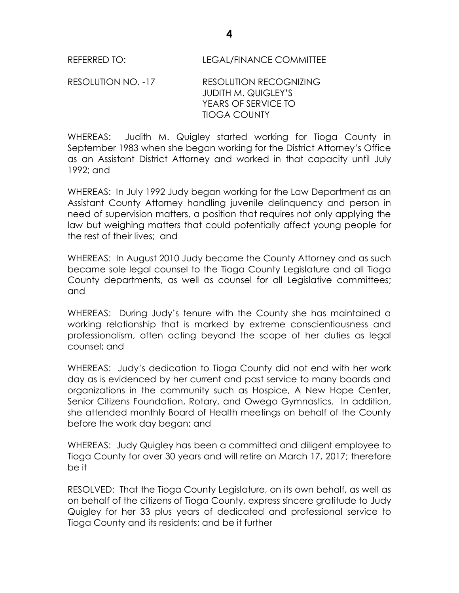RESOLUTION NO. -17 RESOLUTION RECOGNIZING JUDITH M. QUIGLEY'S YEARS OF SERVICE TO TIOGA COUNTY

WHEREAS: Judith M. Quigley started working for Tioga County in September 1983 when she began working for the District Attorney's Office as an Assistant District Attorney and worked in that capacity until July 1992; and

WHEREAS: In July 1992 Judy began working for the Law Department as an Assistant County Attorney handling juvenile delinquency and person in need of supervision matters, a position that requires not only applying the law but weighing matters that could potentially affect young people for the rest of their lives; and

WHEREAS: In August 2010 Judy became the County Attorney and as such became sole legal counsel to the Tioga County Legislature and all Tioga County departments, as well as counsel for all Legislative committees; and

WHEREAS: During Judy's tenure with the County she has maintained a working relationship that is marked by extreme conscientiousness and professionalism, often acting beyond the scope of her duties as legal counsel; and

WHEREAS: Judy's dedication to Tioga County did not end with her work day as is evidenced by her current and past service to many boards and organizations in the community such as Hospice, A New Hope Center, Senior Citizens Foundation, Rotary, and Owego Gymnastics. In addition, she attended monthly Board of Health meetings on behalf of the County before the work day began; and

WHEREAS: Judy Quigley has been a committed and diligent employee to Tioga County for over 30 years and will retire on March 17, 2017; therefore be it

RESOLVED: That the Tioga County Legislature, on its own behalf, as well as on behalf of the citizens of Tioga County, express sincere gratitude to Judy Quigley for her 33 plus years of dedicated and professional service to Tioga County and its residents; and be it further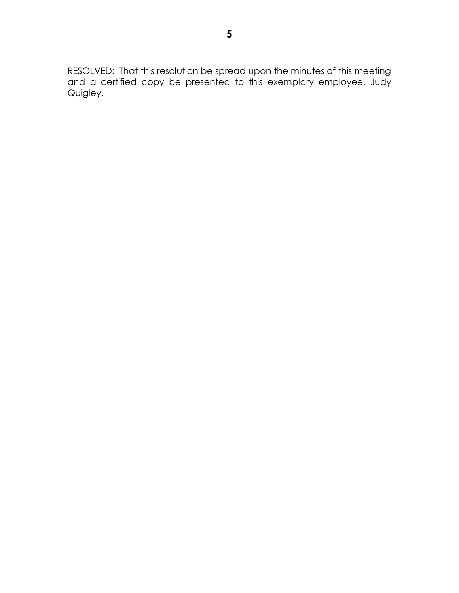RESOLVED: That this resolution be spread upon the minutes of this meeting and a certified copy be presented to this exemplary employee, Judy Quigley.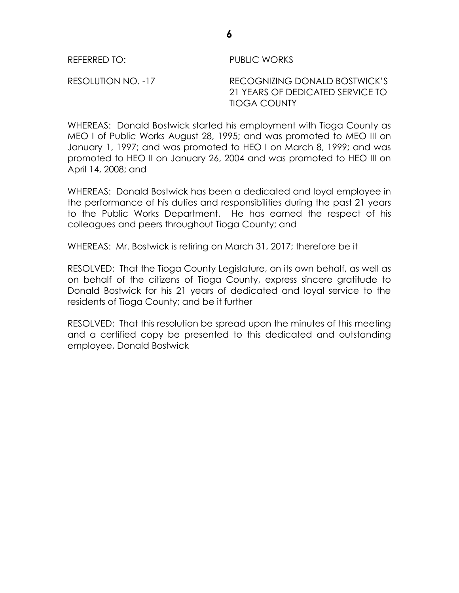REFERRED TO: PUBLIC WORKS

RESOLUTION NO. -17 RECOGNIZING DONALD BOSTWICK'S 21 YEARS OF DEDICATED SERVICE TO TIOGA COUNTY

WHEREAS: Donald Bostwick started his employment with Tioga County as MEO I of Public Works August 28, 1995; and was promoted to MEO III on January 1, 1997; and was promoted to HEO I on March 8, 1999; and was promoted to HEO II on January 26, 2004 and was promoted to HEO III on April 14, 2008; and

WHEREAS: Donald Bostwick has been a dedicated and loyal employee in the performance of his duties and responsibilities during the past 21 years to the Public Works Department. He has earned the respect of his colleagues and peers throughout Tioga County; and

WHEREAS: Mr. Bostwick is retiring on March 31, 2017; therefore be it

RESOLVED: That the Tioga County Legislature, on its own behalf, as well as on behalf of the citizens of Tioga County, express sincere gratitude to Donald Bostwick for his 21 years of dedicated and loyal service to the residents of Tioga County; and be it further

RESOLVED: That this resolution be spread upon the minutes of this meeting and a certified copy be presented to this dedicated and outstanding employee, Donald Bostwick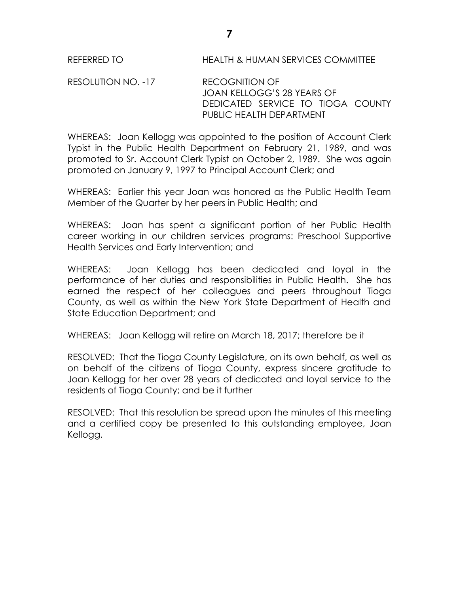REFERRED TO HEALTH & HUMAN SERVICES COMMITTEE

RESOLUTION NO. -17 RECOGNITION OF JOAN KELLOGG'S 28 YEARS OF DEDICATED SERVICE TO TIOGA COUNTY PUBLIC HEALTH DEPARTMENT

WHEREAS: Joan Kellogg was appointed to the position of Account Clerk Typist in the Public Health Department on February 21, 1989, and was promoted to Sr. Account Clerk Typist on October 2, 1989. She was again promoted on January 9, 1997 to Principal Account Clerk; and

WHEREAS: Earlier this year Joan was honored as the Public Health Team Member of the Quarter by her peers in Public Health; and

WHEREAS: Joan has spent a significant portion of her Public Health career working in our children services programs: Preschool Supportive Health Services and Early Intervention; and

WHEREAS: Joan Kellogg has been dedicated and loyal in the performance of her duties and responsibilities in Public Health. She has earned the respect of her colleagues and peers throughout Tioga County, as well as within the New York State Department of Health and State Education Department; and

WHEREAS: Joan Kellogg will retire on March 18, 2017; therefore be it

RESOLVED: That the Tioga County Legislature, on its own behalf, as well as on behalf of the citizens of Tioga County, express sincere gratitude to Joan Kellogg for her over 28 years of dedicated and loyal service to the residents of Tioga County; and be it further

RESOLVED: That this resolution be spread upon the minutes of this meeting and a certified copy be presented to this outstanding employee, Joan Kellogg.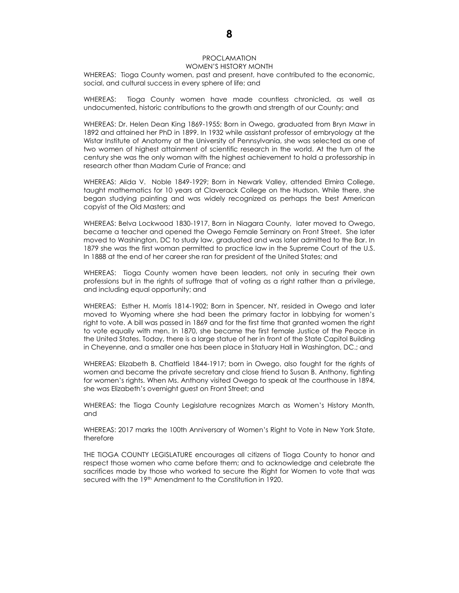### PROCLAMATION

#### WOMEN'S HISTORY MONTH

WHEREAS: Tioga County women, past and present, have contributed to the economic, social, and cultural success in every sphere of life; and

WHEREAS: Tioga County women have made countless chronicled, as well as undocumented, historic contributions to the growth and strength of our County; and

WHEREAS: Dr. Helen Dean King 1869-1955; Born in Owego, graduated from Bryn Mawr in 1892 and attained her PhD in 1899. In 1932 while assistant professor of embryology at the Wistar Institute of Anatomy at the University of Pennsylvania, she was selected as one of two women of highest attainment of scientific research in the world. At the turn of the century she was the only woman with the highest achievement to hold a professorship in research other than Madam Curie of France; and

WHEREAS: Alida V. Noble 1849-1929; Born in Newark Valley, attended Elmira College, taught mathematics for 10 years at Claverack College on the Hudson. While there, she began studying painting and was widely recognized as perhaps the best American copyist of the Old Masters; and

WHEREAS: Belva Lockwood 1830-1917, Born in Niagara County, later moved to Owego, became a teacher and opened the Owego Female Seminary on Front Street. She later moved to Washington, DC to study law, graduated and was later admitted to the Bar. In 1879 she was the first woman permitted to practice law in the Supreme Court of the U.S. In 1888 at the end of her career she ran for president of the United States; and

WHEREAS: Tioga County women have been leaders, not only in securing their own professions but in the rights of suffrage that of voting as a right rather than a privilege, and including equal opportunity; and

WHEREAS: Esther H. Morris 1814-1902; Born in Spencer, NY, resided in Owego and later moved to Wyoming where she had been the primary factor in lobbying for women's right to vote. A bill was passed in 1869 and for the first time that granted women the right to vote equally with men. In 1870, she became the first female Justice of the Peace in the United States. Today, there is a large statue of her in front of the State Capitol Building in Cheyenne, and a smaller one has been place in Statuary Hall in Washington, DC.; and

WHEREAS: Elizabeth B. Chatfield 1844-1917; born in Owego, also fought for the rights of women and became the private secretary and close friend to Susan B. Anthony, fighting for women's rights. When Ms. Anthony visited Owego to speak at the courthouse in 1894, she was Elizabeth's overnight guest on Front Street; and

WHEREAS: the Tioga County Legislature recognizes March as Women's History Month, and

WHEREAS: 2017 marks the 100th Anniversary of Women's Right to Vote in New York State, therefore

THE TIOGA COUNTY LEGISLATURE encourages all citizens of Tioga County to honor and respect those women who came before them; and to acknowledge and celebrate the sacrifices made by those who worked to secure the Right for Women to vote that was secured with the 19<sup>th</sup> Amendment to the Constitution in 1920.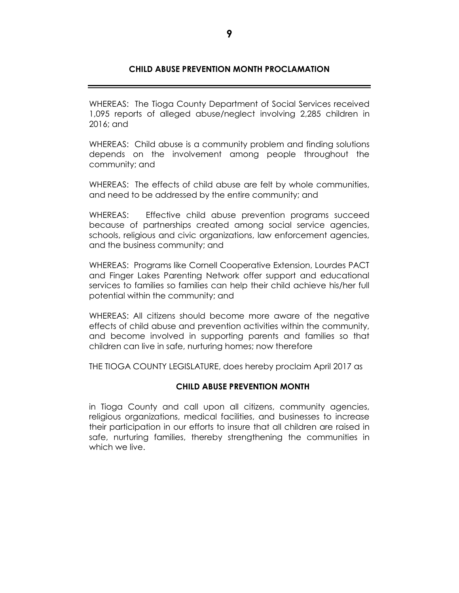### **CHILD ABUSE PREVENTION MONTH PROCLAMATION**

WHEREAS: The Tioga County Department of Social Services received 1,095 reports of alleged abuse/neglect involving 2,285 children in 2016; and

WHEREAS: Child abuse is a community problem and finding solutions depends on the involvement among people throughout the community; and

WHEREAS: The effects of child abuse are felt by whole communities, and need to be addressed by the entire community; and

WHEREAS: Effective child abuse prevention programs succeed because of partnerships created among social service agencies, schools, religious and civic organizations, law enforcement agencies, and the business community; and

WHEREAS: Programs like Cornell Cooperative Extension, Lourdes PACT and Finger Lakes Parenting Network offer support and educational services to families so families can help their child achieve his/her full potential within the community; and

WHEREAS: All citizens should become more aware of the negative effects of child abuse and prevention activities within the community, and become involved in supporting parents and families so that children can live in safe, nurturing homes; now therefore

THE TIOGA COUNTY LEGISLATURE, does hereby proclaim April 2017 as

### **CHILD ABUSE PREVENTION MONTH**

in Tioga County and call upon all citizens, community agencies, religious organizations, medical facilities, and businesses to increase their participation in our efforts to insure that all children are raised in safe, nurturing families, thereby strengthening the communities in which we live.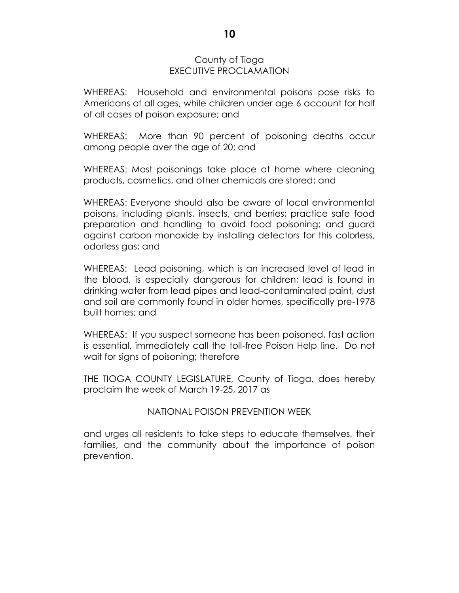### County of Tioga EXECUTIVE PROCLAMATION

WHEREAS: Household and environmental poisons pose risks to Americans of all ages, while children under age 6 account for half of all cases of poison exposure; and

WHEREAS: More than 90 percent of poisoning deaths occur among people aver the age of 20; and

WHEREAS: Most poisonings take place at home where cleaning products, cosmetics, and other chemicals are stored; and

WHEREAS: Everyone should also be aware of local environmental poisons, including plants, insects, and berries; practice safe food preparation and handling to avoid food poisoning; and guard against carbon monoxide by installing detectors for this colorless, odorless gas; and

WHEREAS: Lead poisoning, which is an increased level of lead in the blood, is especially dangerous for children; lead is found in drinking water from lead pipes and lead-contaminated paint, dust and soil are commonly found in older homes, specifically pre-1978 built homes; and

WHEREAS: If you suspect someone has been poisoned, fast action is essential, immediately call the toll-free Poison Help line. Do not wait for signs of poisoning; therefore

THE TIOGA COUNTY LEGISLATURE, County of Tioga, does hereby proclaim the week of March 19-25, 2017 as

### NATIONAL POISON PREVENTION WEEK

and urges all residents to take steps to educate themselves, their families, and the community about the importance of poison prevention.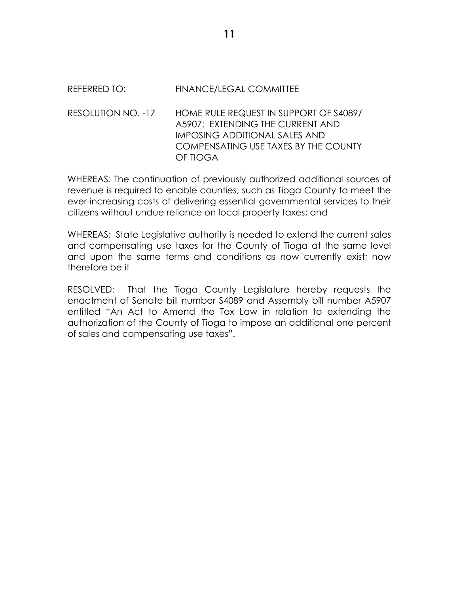# REFERRED TO: FINANCE/LEGAL COMMITTEE

RESOLUTION NO. -17 HOME RULE REQUEST IN SUPPORT OF S4089/ A5907: EXTENDING THE CURRENT AND IMPOSING ADDITIONAL SALES AND COMPENSATING USE TAXES BY THE COUNTY OF TIOGA

WHEREAS: The continuation of previously authorized additional sources of revenue is required to enable counties, such as Tioga County to meet the ever-increasing costs of delivering essential governmental services to their citizens without undue reliance on local property taxes; and

WHEREAS: State Legislative authority is needed to extend the current sales and compensating use taxes for the County of Tioga at the same level and upon the same terms and conditions as now currently exist; now therefore be it

RESOLVED: That the Tioga County Legislature hereby requests the enactment of Senate bill number S4089 and Assembly bill number A5907 entitled "An Act to Amend the Tax Law in relation to extending the authorization of the County of Tioga to impose an additional one percent of sales and compensating use taxes".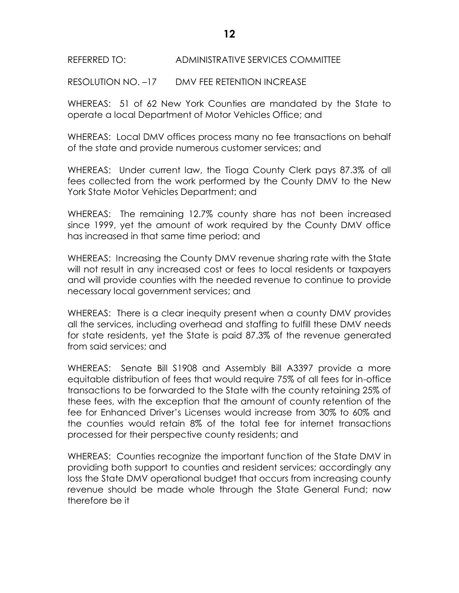RESOLUTION NO. –17 DMV FEE RETENTION INCREASE

WHEREAS: 51 of 62 New York Counties are mandated by the State to operate a local Department of Motor Vehicles Office; and

WHEREAS: Local DMV offices process many no fee transactions on behalf of the state and provide numerous customer services; and

WHEREAS: Under current law, the Tioga County Clerk pays 87.3% of all fees collected from the work performed by the County DMV to the New York State Motor Vehicles Department; and

WHEREAS: The remaining 12.7% county share has not been increased since 1999, yet the amount of work required by the County DMV office has increased in that same time period; and

WHEREAS: Increasing the County DMV revenue sharing rate with the State will not result in any increased cost or fees to local residents or taxpayers and will provide counties with the needed revenue to continue to provide necessary local government services; and

WHEREAS: There is a clear inequity present when a county DMV provides all the services, including overhead and staffing to fulfill these DMV needs for state residents, yet the State is paid 87.3% of the revenue generated from said services; and

WHEREAS: Senate Bill S1908 and Assembly Bill A3397 provide a more equitable distribution of fees that would require 75% of all fees for in-office transactions to be forwarded to the State with the county retaining 25% of these fees, with the exception that the amount of county retention of the fee for Enhanced Driver's Licenses would increase from 30% to 60% and the counties would retain 8% of the total fee for internet transactions processed for their perspective county residents; and

WHEREAS: Counties recognize the important function of the State DMV in providing both support to counties and resident services; accordingly any loss the State DMV operational budget that occurs from increasing county revenue should be made whole through the State General Fund; now therefore be it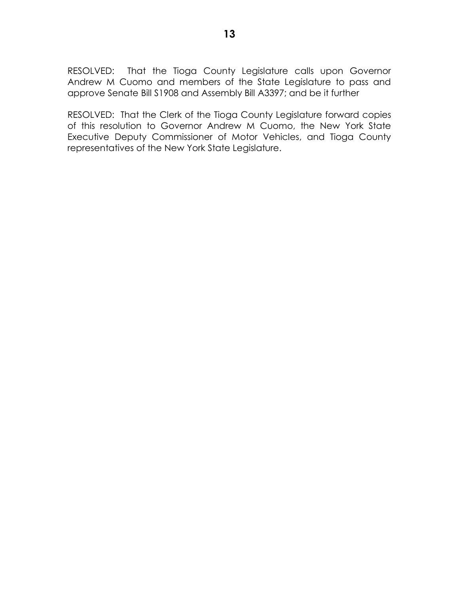RESOLVED: That the Tioga County Legislature calls upon Governor Andrew M Cuomo and members of the State Legislature to pass and approve Senate Bill S1908 and Assembly Bill A3397; and be it further

RESOLVED: That the Clerk of the Tioga County Legislature forward copies of this resolution to Governor Andrew M Cuomo, the New York State Executive Deputy Commissioner of Motor Vehicles, and Tioga County representatives of the New York State Legislature.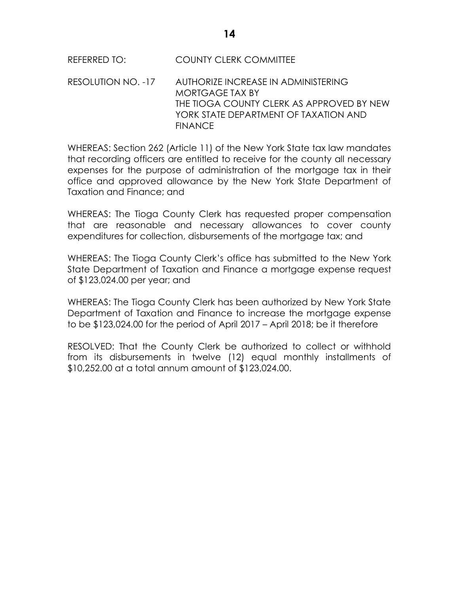## REFERRED TO: COUNTY CLERK COMMITTEE

RESOLUTION NO. -17 AUTHORIZE INCREASE IN ADMINISTERING MORTGAGE TAX BY THE TIOGA COUNTY CLERK AS APPROVED BY NEW YORK STATE DEPARTMENT OF TAXATION AND FINANCE

WHEREAS: Section 262 (Article 11) of the New York State tax law mandates that recording officers are entitled to receive for the county all necessary expenses for the purpose of administration of the mortgage tax in their office and approved allowance by the New York State Department of Taxation and Finance; and

WHEREAS: The Tioga County Clerk has requested proper compensation that are reasonable and necessary allowances to cover county expenditures for collection, disbursements of the mortgage tax; and

WHEREAS: The Tioga County Clerk's office has submitted to the New York State Department of Taxation and Finance a mortgage expense request of \$123,024.00 per year; and

WHEREAS: The Tioga County Clerk has been authorized by New York State Department of Taxation and Finance to increase the mortgage expense to be \$123,024.00 for the period of April 2017 – April 2018; be it therefore

RESOLVED: That the County Clerk be authorized to collect or withhold from its disbursements in twelve (12) equal monthly installments of \$10,252.00 at a total annum amount of \$123,024.00.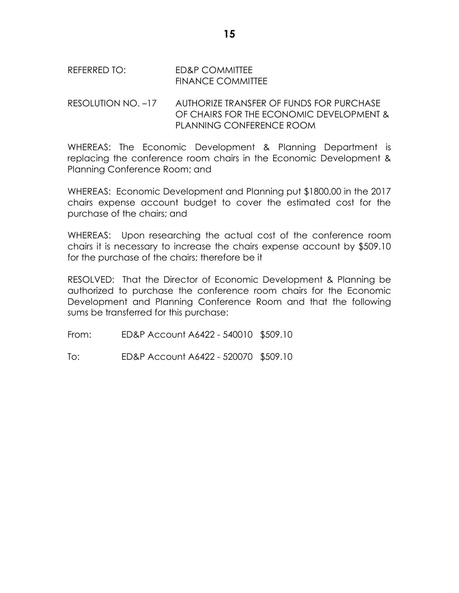REFERRED TO: ED&P COMMITTEE FINANCE COMMITTEE

RESOLUTION NO. –17 AUTHORIZE TRANSFER OF FUNDS FOR PURCHASE OF CHAIRS FOR THE ECONOMIC DEVELOPMENT & PLANNING CONFERENCE ROOM

WHEREAS: The Economic Development & Planning Department is replacing the conference room chairs in the Economic Development & Planning Conference Room; and

WHEREAS: Economic Development and Planning put \$1800.00 in the 2017 chairs expense account budget to cover the estimated cost for the purchase of the chairs; and

WHEREAS: Upon researching the actual cost of the conference room chairs it is necessary to increase the chairs expense account by \$509.10 for the purchase of the chairs; therefore be it

RESOLVED: That the Director of Economic Development & Planning be authorized to purchase the conference room chairs for the Economic Development and Planning Conference Room and that the following sums be transferred for this purchase:

From: ED&P Account A6422 - 540010 \$509.10

To: ED&P Account A6422 - 520070 \$509.10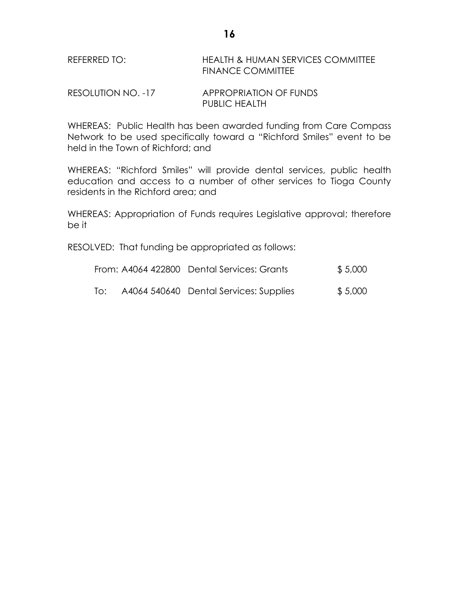| REFERRED TO: | HEALTH & HUMAN SERVICES COMMITTEE |
|--------------|-----------------------------------|
|              | <b>FINANCE COMMITTEE</b>          |

| RESOLUTION NO. -17 | <b>APPROPRIATION OF FUNDS</b> |
|--------------------|-------------------------------|
|                    | <b>PUBLIC HEALTH</b>          |

WHEREAS: Public Health has been awarded funding from Care Compass Network to be used specifically toward a "Richford Smiles" event to be held in the Town of Richford; and

WHEREAS: "Richford Smiles" will provide dental services, public health education and access to a number of other services to Tioga County residents in the Richford area; and

WHEREAS: Appropriation of Funds requires Legislative approval; therefore be it

RESOLVED: That funding be appropriated as follows:

|     | From: A4064 422800 Dental Services: Grants | \$5,000 |
|-----|--------------------------------------------|---------|
| To: | A4064 540640 Dental Services: Supplies     | \$5,000 |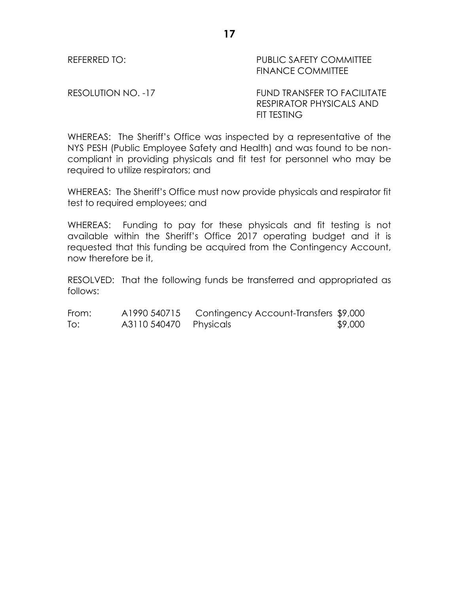REFERRED TO: THE PUBLIC SAFETY COMMITTEE FINANCE COMMITTEE

RESOLUTION NO. -17 FUND TRANSFER TO FACILITATE RESPIRATOR PHYSICALS AND FIT TESTING

WHEREAS: The Sheriff's Office was inspected by a representative of the NYS PESH (Public Employee Safety and Health) and was found to be noncompliant in providing physicals and fit test for personnel who may be required to utilize respirators; and

WHEREAS: The Sheriff's Office must now provide physicals and respirator fit test to required employees; and

WHEREAS: Funding to pay for these physicals and fit testing is not available within the Sheriff's Office 2017 operating budget and it is requested that this funding be acquired from the Contingency Account, now therefore be it,

RESOLVED: That the following funds be transferred and appropriated as follows:

| From: | A1990 540715           | Contingency Account-Transfers \$9,000 |         |
|-------|------------------------|---------------------------------------|---------|
| To:   | A3110 540470 Physicals |                                       | \$9,000 |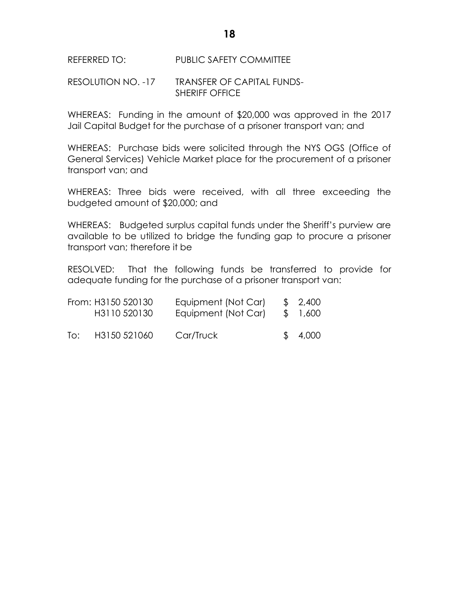REFERRED TO: PUBLIC SAFETY COMMITTEE

## RESOLUTION NO. -17 TRANSFER OF CAPITAL FUNDS-SHERIFF OFFICE

WHEREAS: Funding in the amount of \$20,000 was approved in the 2017 Jail Capital Budget for the purchase of a prisoner transport van; and

WHEREAS: Purchase bids were solicited through the NYS OGS (Office of General Services) Vehicle Market place for the procurement of a prisoner transport van; and

WHEREAS: Three bids were received, with all three exceeding the budgeted amount of \$20,000; and

WHEREAS: Budgeted surplus capital funds under the Sheriff's purview are available to be utilized to bridge the funding gap to procure a prisoner transport van; therefore it be

RESOLVED: That the following funds be transferred to provide for adequate funding for the purchase of a prisoner transport van:

|     | From: H3150 520130<br>H3110 520130 | Equipment (Not Car)<br>Equipment (Not Car) | \$2,400<br>\$1,600 |
|-----|------------------------------------|--------------------------------------------|--------------------|
| To: | H3150 521060                       | Car/Truck                                  | \$4,000            |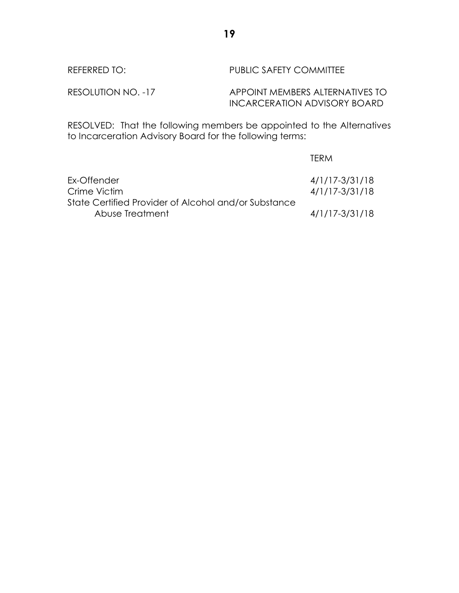RESOLVED: That the following members be appointed to the Alternatives to Incarceration Advisory Board for the following terms:

|                                                      | TFRM           |
|------------------------------------------------------|----------------|
| Ex-Offender                                          | 4/1/17-3/31/18 |
| Crime Victim                                         | 4/1/17-3/31/18 |
| State Certified Provider of Alcohol and/or Substance |                |
| Abuse Treatment                                      | 4/1/17-3/31/18 |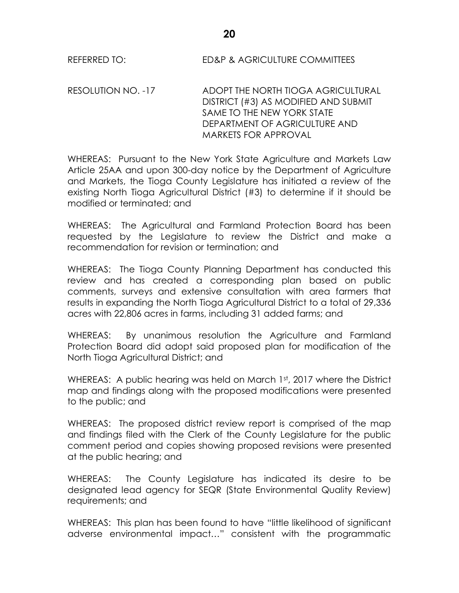REFERRED TO: ED&P & AGRICULTURE COMMITTEES

RESOLUTION NO. -17 ADOPT THE NORTH TIOGA AGRICULTURAL DISTRICT (#3) AS MODIFIED AND SUBMIT SAME TO THE NEW YORK STATE DEPARTMENT OF AGRICULTURE AND MARKETS FOR APPROVAL

WHEREAS: Pursuant to the New York State Agriculture and Markets Law Article 25AA and upon 300-day notice by the Department of Agriculture and Markets, the Tioga County Legislature has initiated a review of the existing North Tioga Agricultural District (#3) to determine if it should be modified or terminated; and

WHEREAS: The Agricultural and Farmland Protection Board has been requested by the Legislature to review the District and make a recommendation for revision or termination; and

WHEREAS: The Tioga County Planning Department has conducted this review and has created a corresponding plan based on public comments, surveys and extensive consultation with area farmers that results in expanding the North Tioga Agricultural District to a total of 29,336 acres with 22,806 acres in farms, including 31 added farms; and

WHEREAS: By unanimous resolution the Agriculture and Farmland Protection Board did adopt said proposed plan for modification of the North Tioga Agricultural District; and

WHEREAS: A public hearing was held on March 1st, 2017 where the District map and findings along with the proposed modifications were presented to the public; and

WHEREAS: The proposed district review report is comprised of the map and findings filed with the Clerk of the County Legislature for the public comment period and copies showing proposed revisions were presented at the public hearing; and

WHEREAS: The County Legislature has indicated its desire to be designated lead agency for SEQR (State Environmental Quality Review) requirements; and

WHEREAS: This plan has been found to have "little likelihood of significant adverse environmental impact…" consistent with the programmatic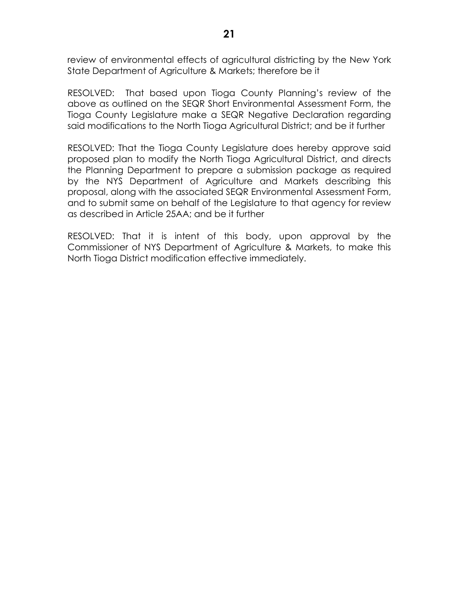review of environmental effects of agricultural districting by the New York State Department of Agriculture & Markets; therefore be it

RESOLVED: That based upon Tioga County Planning's review of the above as outlined on the SEQR Short Environmental Assessment Form, the Tioga County Legislature make a SEQR Negative Declaration regarding said modifications to the North Tioga Agricultural District; and be it further

RESOLVED: That the Tioga County Legislature does hereby approve said proposed plan to modify the North Tioga Agricultural District, and directs the Planning Department to prepare a submission package as required by the NYS Department of Agriculture and Markets describing this proposal, along with the associated SEQR Environmental Assessment Form, and to submit same on behalf of the Legislature to that agency for review as described in Article 25AA; and be it further

RESOLVED: That it is intent of this body, upon approval by the Commissioner of NYS Department of Agriculture & Markets, to make this North Tioga District modification effective immediately.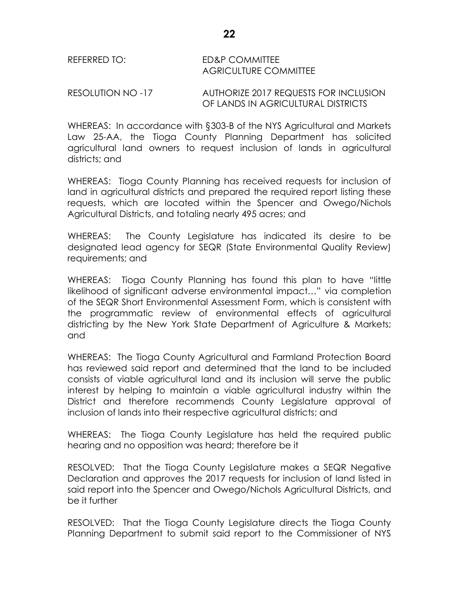RESOLUTION NO -17 AUTHORIZE 2017 REQUESTS FOR INCLUSION OF LANDS IN AGRICULTURAL DISTRICTS

WHEREAS: In accordance with §303-B of the NYS Agricultural and Markets Law 25-AA, the Tioga County Planning Department has solicited agricultural land owners to request inclusion of lands in agricultural districts; and

WHEREAS: Tioga County Planning has received requests for inclusion of land in agricultural districts and prepared the required report listing these requests, which are located within the Spencer and Owego/Nichols Agricultural Districts, and totaling nearly 495 acres; and

WHEREAS: The County Legislature has indicated its desire to be designated lead agency for SEQR (State Environmental Quality Review) requirements; and

WHEREAS: Tioga County Planning has found this plan to have "little likelihood of significant adverse environmental impact…" via completion of the SEQR Short Environmental Assessment Form, which is consistent with the programmatic review of environmental effects of agricultural districting by the New York State Department of Agriculture & Markets; and

WHEREAS: The Tioga County Agricultural and Farmland Protection Board has reviewed said report and determined that the land to be included consists of viable agricultural land and its inclusion will serve the public interest by helping to maintain a viable agricultural industry within the District and therefore recommends County Legislature approval of inclusion of lands into their respective agricultural districts; and

WHEREAS: The Tioga County Legislature has held the required public hearing and no opposition was heard; therefore be it

RESOLVED: That the Tioga County Legislature makes a SEQR Negative Declaration and approves the 2017 requests for inclusion of land listed in said report into the Spencer and Owego/Nichols Agricultural Districts, and be it further

RESOLVED: That the Tioga County Legislature directs the Tioga County Planning Department to submit said report to the Commissioner of NYS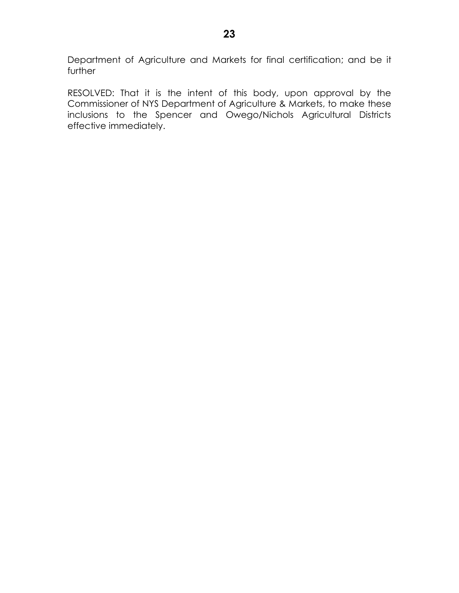Department of Agriculture and Markets for final certification; and be it further

RESOLVED: That it is the intent of this body, upon approval by the Commissioner of NYS Department of Agriculture & Markets, to make these inclusions to the Spencer and Owego/Nichols Agricultural Districts effective immediately.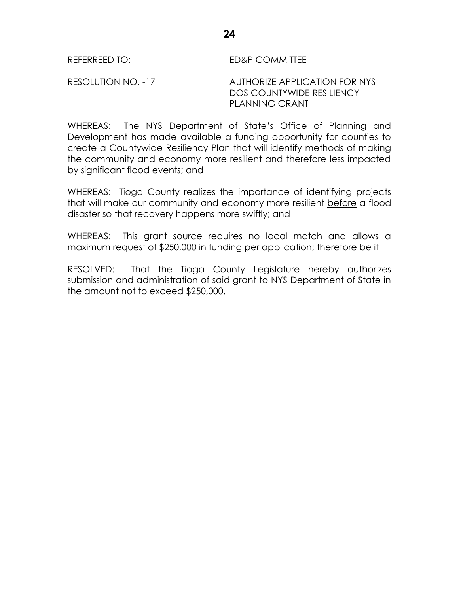## REFERREED TO: ED&P COMMITTEE

RESOLUTION NO. -17 AUTHORIZE APPLICATION FOR NYS DOS COUNTYWIDE RESILIENCY PLANNING GRANT

WHEREAS: The NYS Department of State's Office of Planning and Development has made available a funding opportunity for counties to create a Countywide Resiliency Plan that will identify methods of making the community and economy more resilient and therefore less impacted by significant flood events; and

WHEREAS: Tioga County realizes the importance of identifying projects that will make our community and economy more resilient before a flood disaster so that recovery happens more swiftly; and

WHEREAS: This grant source requires no local match and allows a maximum request of \$250,000 in funding per application; therefore be it

RESOLVED: That the Tioga County Legislature hereby authorizes submission and administration of said grant to NYS Department of State in the amount not to exceed \$250,000.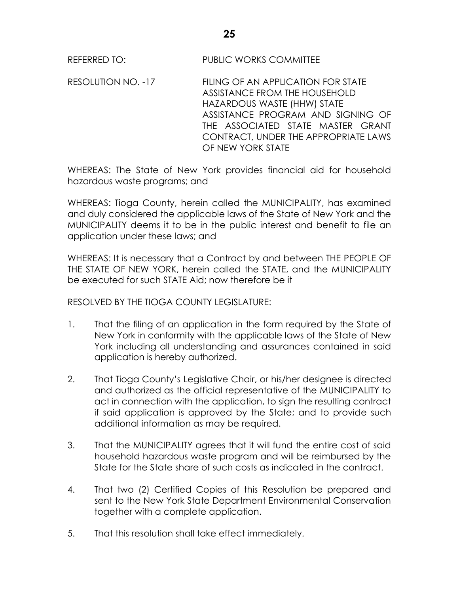REFERRED TO: PUBLIC WORKS COMMITTEE

RESOLUTION NO. -17 FILING OF AN APPLICATION FOR STATE ASSISTANCE FROM THE HOUSEHOLD HAZARDOUS WASTE (HHW) STATE ASSISTANCE PROGRAM AND SIGNING OF THE ASSOCIATED STATE MASTER GRANT CONTRACT, UNDER THE APPROPRIATE LAWS OF NEW YORK STATE

WHEREAS: The State of New York provides financial aid for household hazardous waste programs; and

WHEREAS: Tioga County, herein called the MUNICIPALITY, has examined and duly considered the applicable laws of the State of New York and the MUNICIPALITY deems it to be in the public interest and benefit to file an application under these laws; and

WHEREAS: It is necessary that a Contract by and between THE PEOPLE OF THE STATE OF NEW YORK, herein called the STATE, and the MUNICIPALITY be executed for such STATE Aid; now therefore be it

RESOLVED BY THE TIOGA COUNTY LEGISLATURE:

- 1. That the filing of an application in the form required by the State of New York in conformity with the applicable laws of the State of New York including all understanding and assurances contained in said application is hereby authorized.
- 2. That Tioga County's Legislative Chair, or his/her designee is directed and authorized as the official representative of the MUNICIPALITY to act in connection with the application, to sign the resulting contract if said application is approved by the State; and to provide such additional information as may be required.
- 3. That the MUNICIPALITY agrees that it will fund the entire cost of said household hazardous waste program and will be reimbursed by the State for the State share of such costs as indicated in the contract.
- 4. That two (2) Certified Copies of this Resolution be prepared and sent to the New York State Department Environmental Conservation together with a complete application.
- 5. That this resolution shall take effect immediately.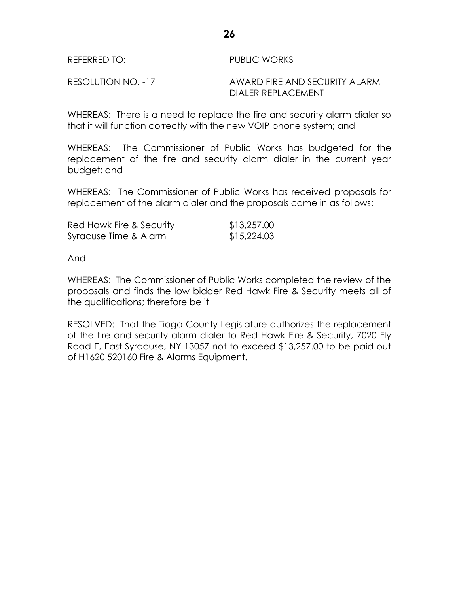| REFERRED TO:       | PUBLIC WORKS                  |
|--------------------|-------------------------------|
| RESOLUTION NO. -17 | AWARD FIRE AND SECURITY ALARM |
|                    | DIALER REPLACEMENT            |

WHEREAS: There is a need to replace the fire and security alarm dialer so that it will function correctly with the new VOIP phone system; and

WHEREAS: The Commissioner of Public Works has budgeted for the replacement of the fire and security alarm dialer in the current year budget; and

WHEREAS: The Commissioner of Public Works has received proposals for replacement of the alarm dialer and the proposals came in as follows:

| Red Hawk Fire & Security | \$13,257.00 |
|--------------------------|-------------|
| Syracuse Time & Alarm    | \$15,224.03 |

And

WHEREAS: The Commissioner of Public Works completed the review of the proposals and finds the low bidder Red Hawk Fire & Security meets all of the qualifications; therefore be it

RESOLVED: That the Tioga County Legislature authorizes the replacement of the fire and security alarm dialer to Red Hawk Fire & Security, 7020 Fly Road E, East Syracuse, NY 13057 not to exceed \$13,257.00 to be paid out of H1620 520160 Fire & Alarms Equipment.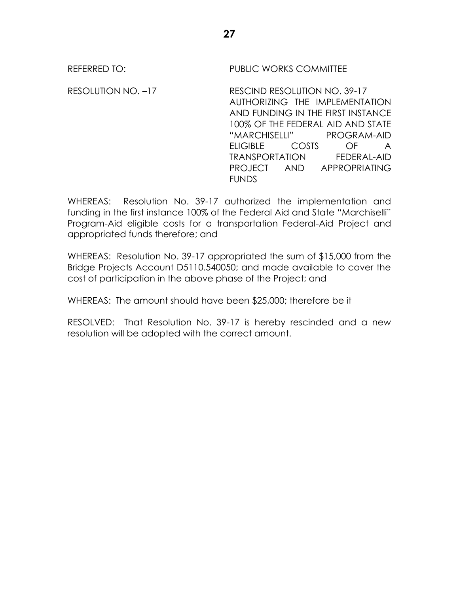REFERRED TO: PUBLIC WORKS COMMITTEE

RESOLUTION NO. –17 RESCIND RESOLUTION NO. 39-17 AUTHORIZING THE IMPLEMENTATION AND FUNDING IN THE FIRST INSTANCE 100% OF THE FEDERAL AID AND STATE "MARCHISELLI" PROGRAM-AID ELIGIBLE COSTS OF A TRANSPORTATION FEDERAL-AID PROJECT AND APPROPRIATING FUNDS

WHEREAS: Resolution No. 39-17 authorized the implementation and funding in the first instance 100% of the Federal Aid and State "Marchiselli" Program-Aid eligible costs for a transportation Federal-Aid Project and appropriated funds therefore; and

WHEREAS: Resolution No. 39-17 appropriated the sum of \$15,000 from the Bridge Projects Account D5110.540050; and made available to cover the cost of participation in the above phase of the Project; and

WHEREAS: The amount should have been \$25,000; therefore be it

RESOLVED: That Resolution No. 39-17 is hereby rescinded and a new resolution will be adopted with the correct amount.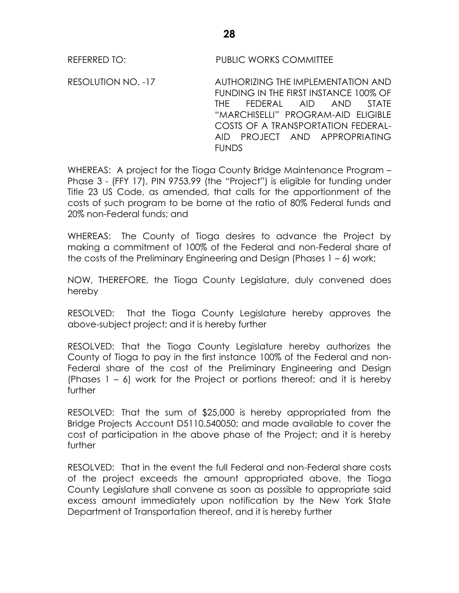REFERRED TO: PUBLIC WORKS COMMITTEE

RESOLUTION NO. -17 AUTHORIZING THE IMPLEMENTATION AND FUNDING IN THE FIRST INSTANCE 100% OF THE FEDERAL AID AND STATE "MARCHISELLI" PROGRAM-AID ELIGIBLE COSTS OF A TRANSPORTATION FEDERAL-AID PROJECT AND APPROPRIATING **FUNDS** 

WHEREAS: A project for the Tioga County Bridge Maintenance Program – Phase 3 - (FFY 17), PIN 9753.99 (the "Project") is eligible for funding under Title 23 US Code, as amended, that calls for the apportionment of the costs of such program to be borne at the ratio of 80% Federal funds and 20% non-Federal funds; and

WHEREAS: The County of Tioga desires to advance the Project by making a commitment of 100% of the Federal and non-Federal share of the costs of the Preliminary Engineering and Design (Phases 1 – 6) work;

NOW, THEREFORE, the Tioga County Legislature, duly convened does hereby

RESOLVED: That the Tioga County Legislature hereby approves the above-subject project; and it is hereby further

RESOLVED: That the Tioga County Legislature hereby authorizes the County of Tioga to pay in the first instance 100% of the Federal and non-Federal share of the cost of the Preliminary Engineering and Design (Phases  $1 - 6$ ) work for the Project or portions thereof; and it is hereby further

RESOLVED: That the sum of \$25,000 is hereby appropriated from the Bridge Projects Account D5110.540050; and made available to cover the cost of participation in the above phase of the Project; and it is hereby further

RESOLVED: That in the event the full Federal and non-Federal share costs of the project exceeds the amount appropriated above, the Tioga County Legislature shall convene as soon as possible to appropriate said excess amount immediately upon notification by the New York State Department of Transportation thereof, and it is hereby further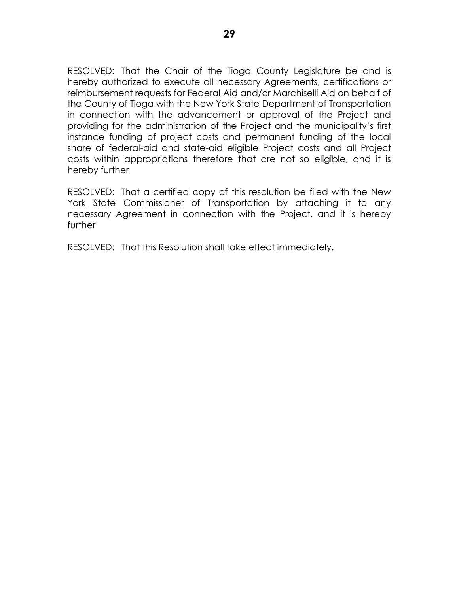RESOLVED: That the Chair of the Tioga County Legislature be and is hereby authorized to execute all necessary Agreements, certifications or reimbursement requests for Federal Aid and/or Marchiselli Aid on behalf of the County of Tioga with the New York State Department of Transportation in connection with the advancement or approval of the Project and providing for the administration of the Project and the municipality's first instance funding of project costs and permanent funding of the local share of federal-aid and state-aid eligible Project costs and all Project costs within appropriations therefore that are not so eligible, and it is hereby further

RESOLVED: That a certified copy of this resolution be filed with the New York State Commissioner of Transportation by attaching it to any necessary Agreement in connection with the Project, and it is hereby further

RESOLVED: That this Resolution shall take effect immediately.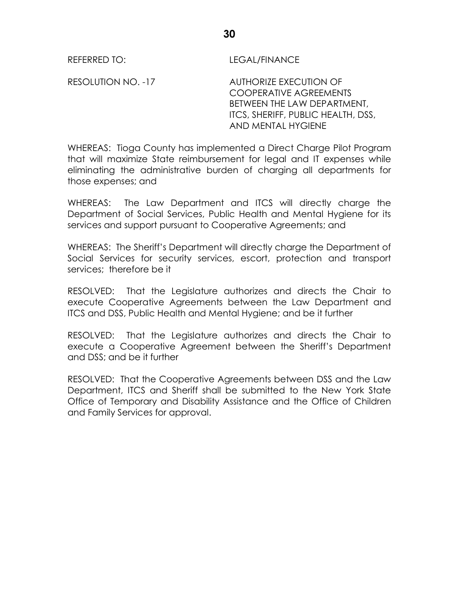REFERRED TO: LEGAL/FINANCE

RESOLUTION NO. -17 AUTHORIZE EXECUTION OF COOPERATIVE AGREEMENTS BETWEEN THE LAW DEPARTMENT, ITCS, SHERIFF, PUBLIC HEALTH, DSS, AND MENTAL HYGIENE

WHEREAS: Tioga County has implemented a Direct Charge Pilot Program that will maximize State reimbursement for legal and IT expenses while eliminating the administrative burden of charging all departments for those expenses; and

WHEREAS: The Law Department and ITCS will directly charge the Department of Social Services, Public Health and Mental Hygiene for its services and support pursuant to Cooperative Agreements; and

WHEREAS: The Sheriff's Department will directly charge the Department of Social Services for security services, escort, protection and transport services; therefore be it

RESOLVED: That the Legislature authorizes and directs the Chair to execute Cooperative Agreements between the Law Department and ITCS and DSS, Public Health and Mental Hygiene; and be it further

RESOLVED: That the Legislature authorizes and directs the Chair to execute a Cooperative Agreement between the Sheriff's Department and DSS; and be it further

RESOLVED: That the Cooperative Agreements between DSS and the Law Department, ITCS and Sheriff shall be submitted to the New York State Office of Temporary and Disability Assistance and the Office of Children and Family Services for approval.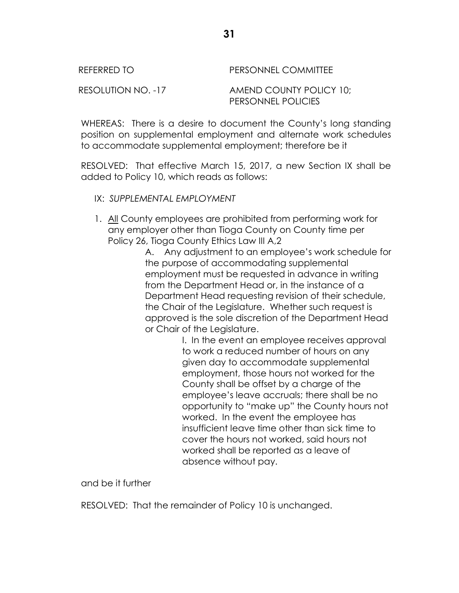REFERRED TO **PERSONNEL COMMITTEE** 

RESOLUTION NO. -17 AMEND COUNTY POLICY 10; PERSONNEL POLICIES

WHEREAS: There is a desire to document the County's long standing position on supplemental employment and alternate work schedules to accommodate supplemental employment; therefore be it

RESOLVED: That effective March 15, 2017, a new Section IX shall be added to Policy 10, which reads as follows:

- IX: *SUPPLEMENTAL EMPLOYMENT*
- 1. All County employees are prohibited from performing work for any employer other than Tioga County on County time per Policy 26, Tioga County Ethics Law III A,2

A. Any adjustment to an employee's work schedule for the purpose of accommodating supplemental employment must be requested in advance in writing from the Department Head or, in the instance of a Department Head requesting revision of their schedule, the Chair of the Legislature. Whether such request is approved is the sole discretion of the Department Head or Chair of the Legislature.

I. In the event an employee receives approval to work a reduced number of hours on any given day to accommodate supplemental employment, those hours not worked for the County shall be offset by a charge of the employee's leave accruals; there shall be no opportunity to "make up" the County hours not worked. In the event the employee has insufficient leave time other than sick time to cover the hours not worked, said hours not worked shall be reported as a leave of absence without pay.

and be it further

RESOLVED: That the remainder of Policy 10 is unchanged.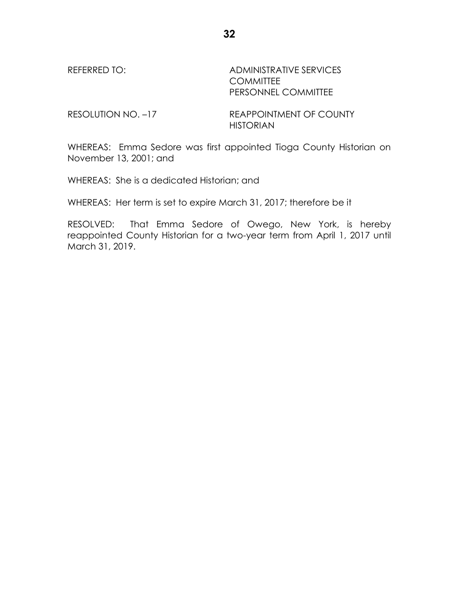REFERRED TO: ADMINISTRATIVE SERVICES **COMMITTEE** PERSONNEL COMMITTEE

RESOLUTION NO. -17 REAPPOINTMENT OF COUNTY HISTORIAN

WHEREAS: Emma Sedore was first appointed Tioga County Historian on November 13, 2001; and

WHEREAS: She is a dedicated Historian; and

WHEREAS: Her term is set to expire March 31, 2017; therefore be it

RESOLVED: That Emma Sedore of Owego, New York, is hereby reappointed County Historian for a two-year term from April 1, 2017 until March 31, 2019.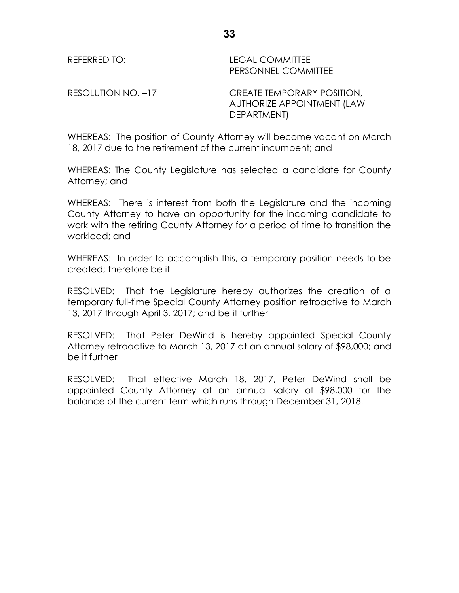**33**

REFERRED TO: LEGAL COMMITTEE PERSONNEL COMMITTEE

RESOLUTION NO. –17 CREATE TEMPORARY POSITION, AUTHORIZE APPOINTMENT (LAW DEPARTMENT)

WHEREAS: The position of County Attorney will become vacant on March 18, 2017 due to the retirement of the current incumbent; and

WHEREAS: The County Legislature has selected a candidate for County Attorney; and

WHEREAS: There is interest from both the Legislature and the incoming County Attorney to have an opportunity for the incoming candidate to work with the retiring County Attorney for a period of time to transition the workload; and

WHEREAS: In order to accomplish this, a temporary position needs to be created; therefore be it

RESOLVED: That the Legislature hereby authorizes the creation of a temporary full-time Special County Attorney position retroactive to March 13, 2017 through April 3, 2017; and be it further

RESOLVED: That Peter DeWind is hereby appointed Special County Attorney retroactive to March 13, 2017 at an annual salary of \$98,000; and be it further

RESOLVED: That effective March 18, 2017, Peter DeWind shall be appointed County Attorney at an annual salary of \$98,000 for the balance of the current term which runs through December 31, 2018.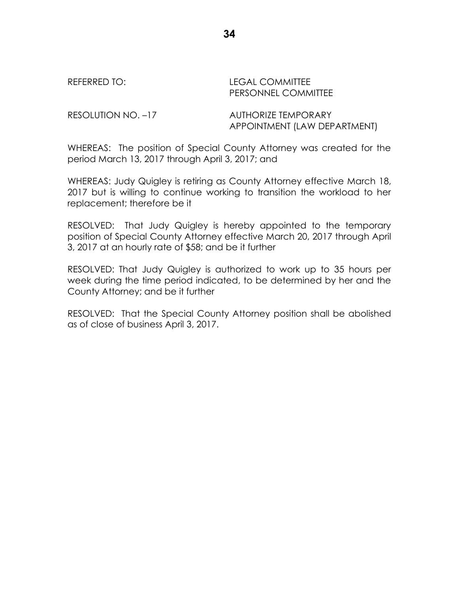REFERRED TO: LEGAL COMMITTEE PERSONNEL COMMITTEE

RESOLUTION NO. -17 AUTHORIZE TEMPORARY APPOINTMENT (LAW DEPARTMENT)

WHEREAS: The position of Special County Attorney was created for the period March 13, 2017 through April 3, 2017; and

WHEREAS: Judy Quigley is retiring as County Attorney effective March 18, 2017 but is willing to continue working to transition the workload to her replacement; therefore be it

RESOLVED: That Judy Quigley is hereby appointed to the temporary position of Special County Attorney effective March 20, 2017 through April 3, 2017 at an hourly rate of \$58; and be it further

RESOLVED: That Judy Quigley is authorized to work up to 35 hours per week during the time period indicated, to be determined by her and the County Attorney; and be it further

RESOLVED: That the Special County Attorney position shall be abolished as of close of business April 3, 2017.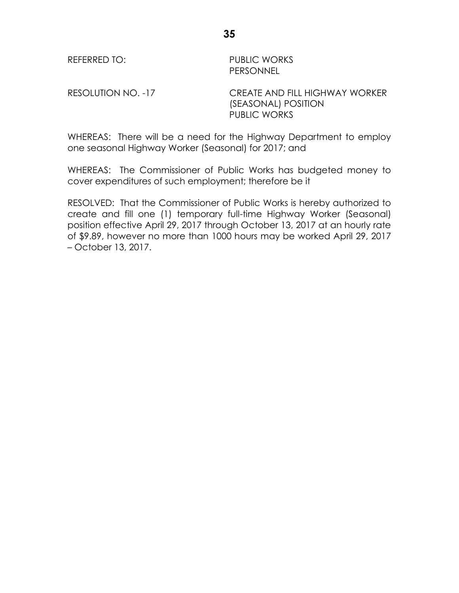REFERRED TO: PUBLIC WORKS PERSONNEL

RESOLUTION NO. -17 CREATE AND FILL HIGHWAY WORKER (SEASONAL) POSITION PUBLIC WORKS

WHEREAS: There will be a need for the Highway Department to employ one seasonal Highway Worker (Seasonal) for 2017; and

WHEREAS: The Commissioner of Public Works has budgeted money to cover expenditures of such employment; therefore be it

RESOLVED: That the Commissioner of Public Works is hereby authorized to create and fill one (1) temporary full-time Highway Worker (Seasonal) position effective April 29, 2017 through October 13, 2017 at an hourly rate of \$9.89, however no more than 1000 hours may be worked April 29, 2017 – October 13, 2017.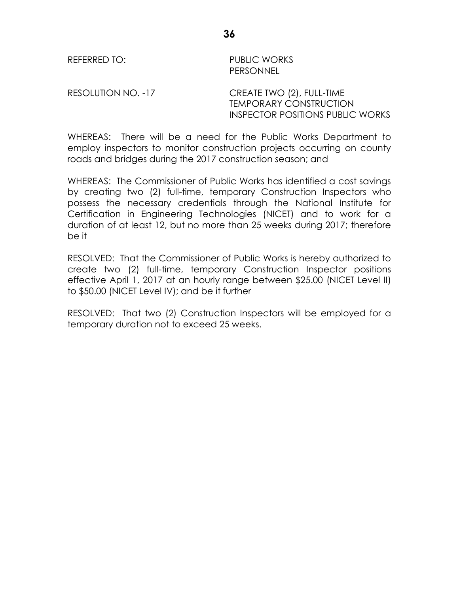REFERRED TO: PUBLIC WORKS PERSONNEL

RESOLUTION NO. -17 CREATE TWO (2), FULL-TIME

TEMPORARY CONSTRUCTION INSPECTOR POSITIONS PUBLIC WORKS

WHEREAS: There will be a need for the Public Works Department to employ inspectors to monitor construction projects occurring on county roads and bridges during the 2017 construction season; and

WHEREAS: The Commissioner of Public Works has identified a cost savings by creating two (2) full-time, temporary Construction Inspectors who possess the necessary credentials through the National Institute for Certification in Engineering Technologies (NICET) and to work for a duration of at least 12, but no more than 25 weeks during 2017; therefore be it

RESOLVED: That the Commissioner of Public Works is hereby authorized to create two (2) full-time, temporary Construction Inspector positions effective April 1, 2017 at an hourly range between \$25.00 (NICET Level II) to \$50.00 (NICET Level IV); and be it further

RESOLVED: That two (2) Construction Inspectors will be employed for a temporary duration not to exceed 25 weeks.